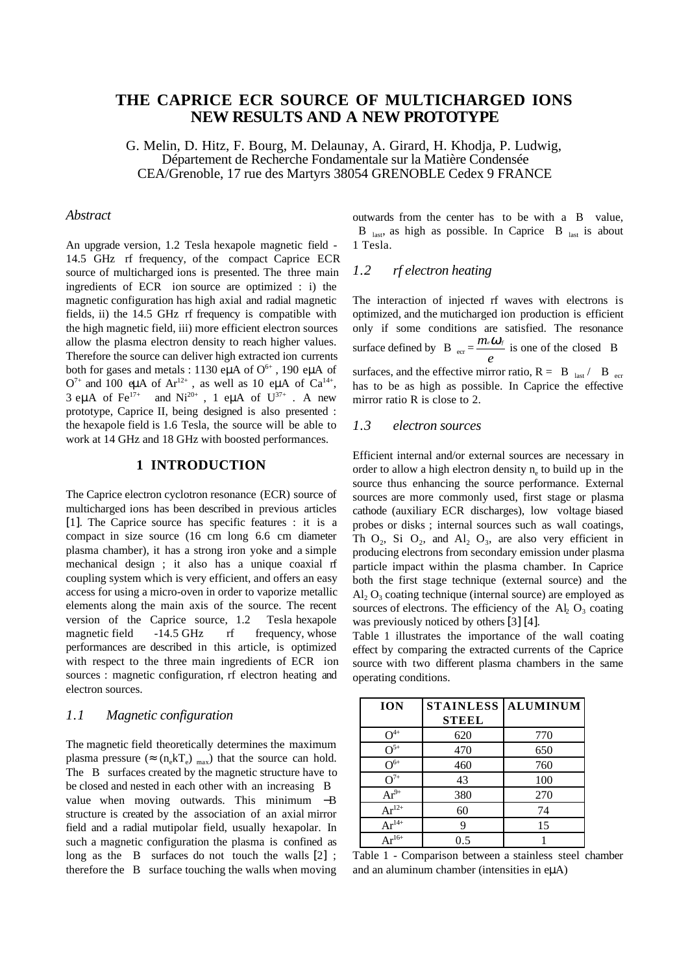# **THE CAPRICE ECR SOURCE OF MULTICHARGED IONS NEW RESULTS AND A NEW PROTOTYPE**

G. Melin, D. Hitz, F. Bourg, M. Delaunay, A. Girard, H. Khodja, P. Ludwig, Département de Recherche Fondamentale sur la Matière Condensée CEA/Grenoble, 17 rue des Martyrs 38054 GRENOBLE Cedex 9 FRANCE

#### *Abstract*

An upgrade version, 1.2 Tesla hexapole magnetic field - 14.5 GHz rf frequency, of the compact Caprice ECR source of multicharged ions is presented. The three main ingredients of ECR ion source are optimized : i) the magnetic configuration has high axial and radial magnetic fields, ii) the 14.5 GHz rf frequency is compatible with the high magnetic field, iii) more efficient electron sources allow the plasma electron density to reach higher values. Therefore the source can deliver high extracted ion currents both for gases and metals : 1130 eµA of  $O<sup>6+</sup>$ , 190 eµA of  $O^{7+}$  and 100 eµA of Ar<sup>12+</sup>, as well as 10 eµA of Ca<sup>14+</sup>, 3 eµA of  $\text{Fe}^{17+}$  and  $\text{Ni}^{20+}$ , 1 eµA of  $\text{U}^{37+}$  . A new prototype, Caprice II, being designed is also presented : the hexapole field is 1.6 Tesla, the source will be able to work at 14 GHz and 18 GHz with boosted performances.

### **1 INTRODUCTION**

The Caprice electron cyclotron resonance (ECR) source of multicharged ions has been described in previous articles [1]. The Caprice source has specific features : it is a compact in size source (16 cm long 6.6 cm diameter plasma chamber), it has a strong iron yoke and a simple mechanical design ; it also has a unique coaxial rf coupling system which is very efficient, and offers an easy access for using a micro-oven in order to vaporize metallic elements along the main axis of the source. The recent version of the Caprice source, 1.2 Tesla hexapole magnetic field -14.5 GHz rf frequency, whose performances are described in this article, is optimized with respect to the three main ingredients of ECR ion sources : magnetic configuration, rf electron heating and electron sources.

#### *1.1 Magnetic configuration*

The magnetic field theoretically determines the maximum plasma pressure ( $\approx$  (n<sub>e</sub>kT<sub>e</sub>) <sub>max</sub>) that the source can hold. The  $|B|$  surfaces created by the magnetic structure have to be closed and nested in each other with an increasing  $|B|$ value when moving outwards. This minimum −B structure is created by the association of an axial mirror field and a radial mutipolar field, usually hexapolar. In such a magnetic configuration the plasma is confined as long as the  $|B|$  surfaces do not touch the walls [2] ; therefore the  $|B|$  surface touching the walls when moving

outwards from the center has to be with a  $|B|$  value,  $|B|_{\text{last}}$  as high as possible. In Caprice  $|B|_{\text{last}}$  is about 1 Tesla.

#### *1.2 rf electron heating*

The interaction of injected rf waves with electrons is optimized, and the muticharged ion production is efficient only if some conditions are satisfied. The resonance surface defined by  $|B|_{\text{er}} = \frac{m}{2}$ *e*  $\frac{e^{i\omega_t}}{2i}$  is one of the closed |B| surfaces, and the effective mirror ratio,  $R = |B|_{\text{last}} / |B|_{\text{ecr}}$ has to be as high as possible. In Caprice the effective mirror ratio R is close to 2.

## *1.3 electron sources*

Efficient internal and/or external sources are necessary in order to allow a high electron density  $n_e$  to build up in the source thus enhancing the source performance. External sources are more commonly used, first stage or plasma cathode (auxiliary ECR discharges), low voltage biased probes or disks ; internal sources such as wall coatings, Th  $O_2$ , Si  $O_2$ , and  $Al_2 O_3$ , are also very efficient in producing electrons from secondary emission under plasma particle impact within the plasma chamber. In Caprice both the first stage technique (external source) and the  $\text{Al}_2$  O<sub>3</sub> coating technique (internal source) are employed as sources of electrons. The efficiency of the  $Al_2 O_3$  coating was previously noticed by others [3] [4].

Table 1 illustrates the importance of the wall coating effect by comparing the extracted currents of the Caprice source with two different plasma chambers in the same operating conditions.

| <b>ION</b>     | <b>STAINLESS</b> | <b>ALUMINUM</b> |
|----------------|------------------|-----------------|
|                | <b>STEEL</b>     |                 |
| $\Omega^{4+}$  | 620              | 770             |
| $O^{5+}$       | 470              | 650             |
| $\Omega^{6+}$  | 460              | 760             |
| $O^{7+}$       | 43               | 100             |
| $Ar^{9+}$      | 380              | 270             |
| $Ar^{12+}$     | 60               | 74              |
| $\rm Ar^{14+}$ | q                | 15              |
| $Ar^{16+}$     | 0.5              |                 |

Table 1 - Comparison between a stainless steel chamber and an aluminum chamber (intensities in e $\mu$ A)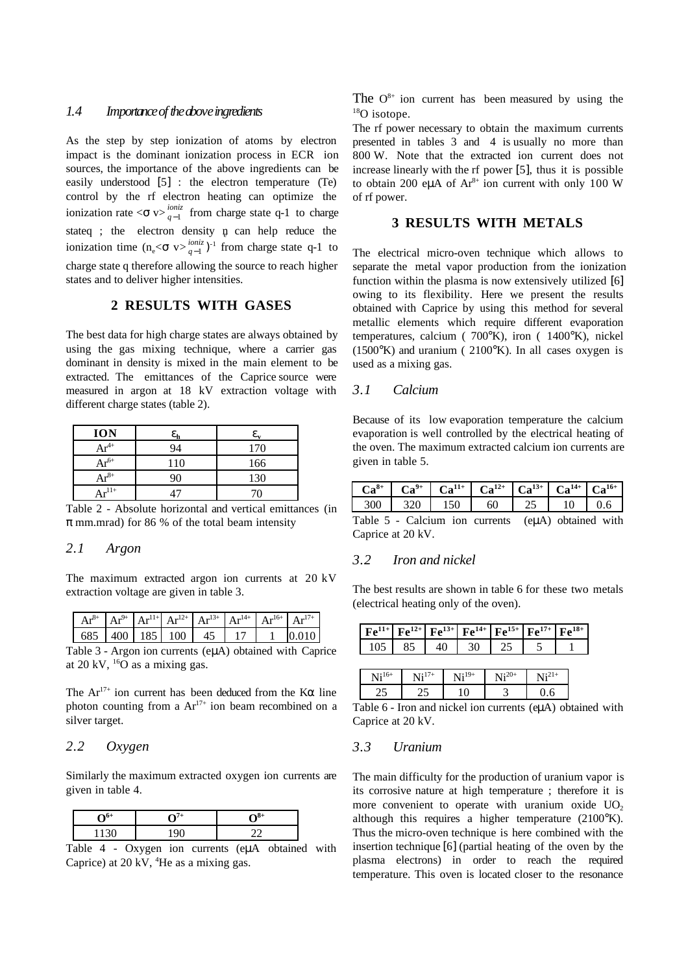#### *1.4 Importance of the above ingredients*

As the step by step ionization of atoms by electron impact is the dominant ionization process in ECR ion sources, the importance of the above ingredients can be easily understood [5] : the electron temperature (Te) control by the rf electron heating can optimize the ionization rate  $\langle \sigma v \rangle_{q-1}^{ioniz}$  from charge state q-1 to charge stateq ; the electron density  $\mathfrak p$  can help reduce the ionization time  $(n_e < \sigma v >_{q-1}^{ioniz})^{-1}$  from charge state q-1 to charge state q therefore allowing the source to reach higher states and to deliver higher intensities.

## **2 RESULTS WITH GASES**

The best data for high charge states are always obtained by using the gas mixing technique, where a carrier gas dominant in density is mixed in the main element to be extracted. The emittances of the Caprice source were measured in argon at 18 kV extraction voltage with different charge states (table 2).

| <b>ION</b>        | $\epsilon_{\text{\tiny L}}$ | ε.  |
|-------------------|-----------------------------|-----|
| $Ar^{4+}$         | 94                          | 170 |
| $Ar^{6+}$         | 110                         | 166 |
| $Ar^{8+}$         | ገበ                          | 130 |
| $\Lambda r^{11+}$ |                             |     |

Table 2 - Absolute horizontal and vertical emittances (in  $\pi$  mm.mrad) for 86 % of the total beam intensity

#### *2.1 Argon*

The maximum extracted argon ion currents at 20 kV extraction voltage are given in table 3.

| $Ar^{8+}$ |  |                    | $AR^{9+}$ $Ar^{11+}$ $Ar^{12+}$ $Ar^{13+}$ $Ar^{14+}$ $Ar^{16+}$ $Ar^{17+}$ |  |  |
|-----------|--|--------------------|-----------------------------------------------------------------------------|--|--|
|           |  | 685 400 185 100 45 |                                                                             |  |  |

Table 3 - Argon ion currents (eµA) obtained with Caprice at 20 kV,  $^{16}$ O as a mixing gas.

The  $Ar^{17+}$  ion current has been deduced from the K $\alpha$  line photon counting from a  $Ar^{17+}$  ion beam recombined on a silver target.

## *2.2 Oxygen*

Similarly the maximum extracted oxygen ion currents are given in table 4.

Table 4 - Oxygen ion currents (eµA obtained with Caprice) at 20 kV,  ${}^{4}$ He as a mixing gas.

The  $O^{8+}$  ion current has been measured by using the  $18$ O isotope.

The rf power necessary to obtain the maximum currents presented in tables 3 and 4 is usually no more than 800 W. Note that the extracted ion current does not increase linearly with the rf power [5], thus it is possible to obtain 200 eµA of  $Ar^{8+}$  ion current with only 100 W of rf power.

## **3 RESULTS WITH METALS**

The electrical micro-oven technique which allows to separate the metal vapor production from the ionization function within the plasma is now extensively utilized [6] owing to its flexibility. Here we present the results obtained with Caprice by using this method for several metallic elements which require different evaporation temperatures, calcium ( 700°K), iron ( 1400°K), nickel  $(1500\text{°K})$  and uranium (  $2100\text{°K}$ ). In all cases oxygen is used as a mixing gas.

#### *3.1 Calcium*

Because of its low evaporation temperature the calcium evaporation is well controlled by the electrical heating of the oven. The maximum extracted calcium ion currents are given in table 5.

| $\mathbf{Ca}^{8+}$ | $ Ca^{9+}$ $Ca^{11+}$ $Ca^{11+}$ | $\begin{array}{ c c c c c c c c } \hline \end{array}$ Ca <sup>12+</sup> Ca <sup>16+</sup> |     |    |  |
|--------------------|----------------------------------|-------------------------------------------------------------------------------------------|-----|----|--|
| 30 N               |                                  |                                                                                           | -25 | 10 |  |

| Table 5 - Calcium ion currents (eµA) obtained with |  |  |  |
|----------------------------------------------------|--|--|--|
| Caprice at 20 kV.                                  |  |  |  |

#### *3.2 Iron and nickel*

The best results are shown in table 6 for these two metals (electrical heating only of the oven).

|  | $F e^{11+} F e^{12+} F e^{13+} F e^{14+} F e^{15+} F e^{17+} F e^{18+}$ |  |  |
|--|-------------------------------------------------------------------------|--|--|
|  | 105 85 40 30 25                                                         |  |  |
|  |                                                                         |  |  |

| $\mathrm{Ni}^{\mathrm{16+}}$ | $\sqrt{1}$ | $19+$ | $\sim 120^+$ | ∖l∔41⊤ |
|------------------------------|------------|-------|--------------|--------|
|                              |            |       |              |        |

Table 6 - Iron and nickel ion currents (eµA) obtained with Caprice at 20 kV.

## *3.3 Uranium*

The main difficulty for the production of uranium vapor is its corrosive nature at high temperature ; therefore it is more convenient to operate with uranium oxide  $UO<sub>2</sub>$ although this requires a higher temperature  $(2100)$ °K). Thus the micro-oven technique is here combined with the insertion technique [6] (partial heating of the oven by the plasma electrons) in order to reach the required temperature. This oven is located closer to the resonance